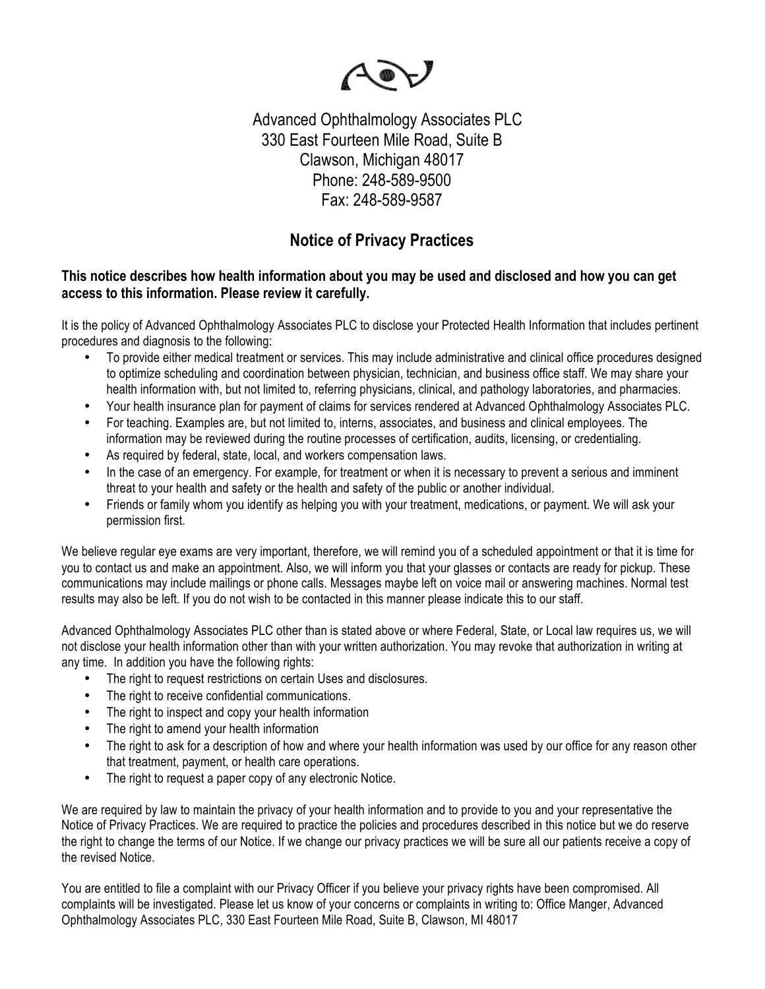

Advanced Ophthalmology Associates PLC 330 East Fourteen Mile Road, Suite B Clawson, Michigan 48017 Phone: 248-589-9500 Fax: 248-589-9587

## **Notice of Privacy Practices**

## **This notice describes how health information about you may be used and disclosed and how you can get access to this information. Please review it carefully.**

It is the policy of Advanced Ophthalmology Associates PLC to disclose your Protected Health Information that includes pertinent procedures and diagnosis to the following:

- To provide either medical treatment or services. This may include administrative and clinical office procedures designed to optimize scheduling and coordination between physician, technician, and business office staff. We may share your health information with, but not limited to, referring physicians, clinical, and pathology laboratories, and pharmacies.
- Your health insurance plan for payment of claims for services rendered at Advanced Ophthalmology Associates PLC.
- For teaching. Examples are, but not limited to, interns, associates, and business and clinical employees. The information may be reviewed during the routine processes of certification, audits, licensing, or credentialing.
- As required by federal, state, local, and workers compensation laws.
- In the case of an emergency. For example, for treatment or when it is necessary to prevent a serious and imminent threat to your health and safety or the health and safety of the public or another individual.
- Friends or family whom you identify as helping you with your treatment, medications, or payment. We will ask your permission first.

We believe regular eye exams are very important, therefore, we will remind you of a scheduled appointment or that it is time for you to contact us and make an appointment. Also, we will inform you that your glasses or contacts are ready for pickup. These communications may include mailings or phone calls. Messages maybe left on voice mail or answering machines. Normal test results may also be left. If you do not wish to be contacted in this manner please indicate this to our staff.

Advanced Ophthalmology Associates PLC other than is stated above or where Federal, State, or Local law requires us, we will not disclose your health information other than with your written authorization. You may revoke that authorization in writing at any time. In addition you have the following rights:

- The right to request restrictions on certain Uses and disclosures.
- The right to receive confidential communications.
- The right to inspect and copy your health information
- The right to amend your health information
- The right to ask for a description of how and where your health information was used by our office for any reason other that treatment, payment, or health care operations.
- The right to request a paper copy of any electronic Notice.

We are required by law to maintain the privacy of your health information and to provide to you and your representative the Notice of Privacy Practices. We are required to practice the policies and procedures described in this notice but we do reserve the right to change the terms of our Notice. If we change our privacy practices we will be sure all our patients receive a copy of the revised Notice.

You are entitled to file a complaint with our Privacy Officer if you believe your privacy rights have been compromised. All complaints will be investigated. Please let us know of your concerns or complaints in writing to: Office Manger, Advanced Ophthalmology Associates PLC, 330 East Fourteen Mile Road, Suite B, Clawson, MI 48017